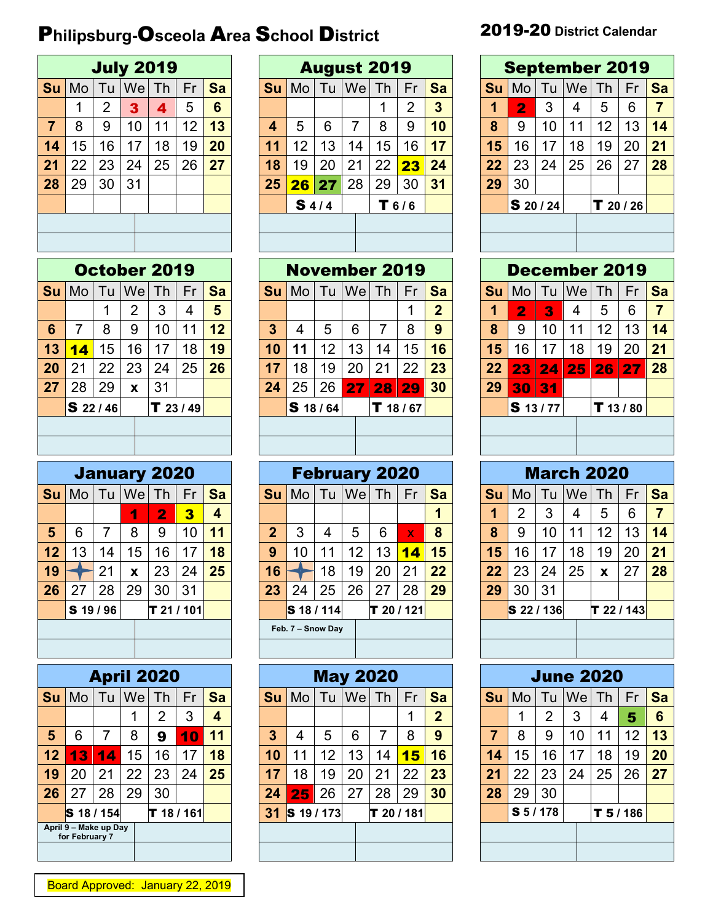## P**hilipsburg-**O**sceola** A**rea** S**chool** D**istrict** 2019-20 **District Calendar**

|                |    |                |    | <b>July 2019</b> |    |           |
|----------------|----|----------------|----|------------------|----|-----------|
| Su             | Mo | Tu             |    | $ $ We $ $ Th    | Fr | <b>Sa</b> |
|                | 1  | $\overline{2}$ | 3  | 4                | 5  | 6         |
| $\overline{7}$ | 8  | 9              | 10 | 11               | 12 | 13        |
| 14             | 15 | 16             | 17 | 18               | 19 | 20        |
| 21             | 22 | 23             | 24 | 25               | 26 | 27        |
| 28             | 29 | 30             | 31 |                  |    |           |
|                |    |                |    |                  |    |           |
|                |    |                |    |                  |    |           |
|                |    |                |    |                  |    |           |

|                 |    |                   |                | October 2019 |           |    |
|-----------------|----|-------------------|----------------|--------------|-----------|----|
| Su              |    | Mo   Tu   We   Th |                |              | Fr        | Sa |
|                 |    | 1                 | $\overline{2}$ | 3            | 4         | 5  |
| $6\phantom{1}6$ | 7  | 8                 | 9              | 10           | 11        | 12 |
| 13              | 14 | 15                | 16             | 17           | 18        | 19 |
| 20              | 21 | 22                | 23             | 24           | 25        | 26 |
| 27              | 28 | 29                | X              | 31           |           |    |
|                 |    | \$22/46           |                |              | T 23 / 49 |    |
|                 |    |                   |                |              |           |    |
|                 |    |                   |                |              |           |    |

|    |    |           |    | <b>January 2020</b>    |    |    |
|----|----|-----------|----|------------------------|----|----|
| Su |    |           |    | Mo   Tu   We   Th   Fr |    | Sa |
|    |    |           |    | $\mathbf{2}$           | 3  | 4  |
| 5  | 6  | 7         | 8  | 9                      | 10 | 11 |
| 12 | 13 | 14        | 15 | 16                     | 17 | 18 |
| 19 |    | 21        | X  | 23                     | 24 | 25 |
| 26 | 27 | 28        | 29 | 30                     | 31 |    |
|    |    | S 19 / 96 |    | T 21 / 101             |    |    |
|    |    |           |    |                        |    |    |
|    |    |           |    |                        |    |    |

|    |                                         |             |    | <b>April 2020</b> |    |           |
|----|-----------------------------------------|-------------|----|-------------------|----|-----------|
| Su |                                         | Mo Tu We Th |    |                   | Fr | <b>Sa</b> |
|    |                                         |             | 1  | 2                 | 3  | 4         |
| 5  | 6                                       | 7           | 8  | 9                 | 10 | 11        |
| 12 | 13                                      | 14          | 15 | 16                | 17 | 18        |
| 19 | 20                                      | 21          | 22 | 23                | 24 | 25        |
| 26 | 27                                      | 28          | 29 | 30                |    |           |
|    | S 18 / 154                              |             |    | T 18 / 161        |    |           |
|    | April 9 - Make up Day<br>for February 7 |             |    |                   |    |           |
|    |                                         |             |    |                   |    |           |

|    |    |    |           | <b>July 2019</b> |    |    |           |    |       | <b>August 2019</b> |    |                |           |           |                  |    |     | <b>September 2019</b> |    |    |
|----|----|----|-----------|------------------|----|----|-----------|----|-------|--------------------|----|----------------|-----------|-----------|------------------|----|-----|-----------------------|----|----|
| Su | Mo | Tu | <b>We</b> | Th               | Fr | Sa | <b>Su</b> | Mo | Tu    | We                 | Th | Fr             | <b>Sa</b> | <b>Su</b> | Mo               | Tu | Wel | l Th                  | Fr | Sa |
|    |    | 2  | 3         | 4                | 5  | 6  |           |    |       |                    |    | $\overline{2}$ | 3         |           | $\overline{2}$   | 3  | 4   | 5                     | 6  | 7  |
|    | 8  | 9  | 10        | 11               | 12 | 13 | 4         | 5  | 6     |                    | 8  | 9              | 10        | 8         | 9                | 10 | 11  | 12                    | 13 | 14 |
| 14 | 15 | 16 | 17        | 18               | 19 | 20 | 11        | 12 | 13    | 14                 | 15 | 16             | 17        | 15        | 16               | 17 | 18  | 19                    | 20 | 21 |
| 21 | 22 | 23 | 24        | 25               | 26 | 27 | 18        | 19 | 20    | 21                 | 22 | 23             | 24        | 22        | 23               | 24 | 25  | 26                    | 27 | 28 |
| 28 | 29 | 30 | 31        |                  |    |    | 25        | 26 | 27    | 28                 | 29 | 30             | 31        | 29        | 30               |    |     |                       |    |    |
|    |    |    |           |                  |    |    |           |    | \$4/4 |                    |    | T 6/6          |           |           | <b>S</b> 20 / 24 |    |     | $T$ 20 / 26           |    |    |
|    |    |    |           |                  |    |    |           |    |       |                    |    |                |           |           |                  |    |     |                       |    |    |
|    |    |    |           |                  |    |    |           |    |       |                    |    |                |           |           |                  |    |     |                       |    |    |

|    |             |    |    | October 2019 |        |           |    | <b>November 2019</b> |    |    |    |                 |           |           |             |    |           | <b>December 2019</b> |    |    |
|----|-------------|----|----|--------------|--------|-----------|----|----------------------|----|----|----|-----------------|-----------|-----------|-------------|----|-----------|----------------------|----|----|
| Su | Mo          | Tu | We | Th           | Fr     | <b>Sa</b> | Su | Mo                   | Tu | We | Th | Fr              | <b>Sa</b> | <b>Su</b> | Mo.         | Tu | <b>We</b> | Th                   | Fr | Sa |
|    |             |    | າ  | 3            |        | 5         |    |                      |    |    |    |                 | 2         |           | 2           | 3  | 4         | 5                    | 6  | 7  |
| 6  | 7           | 8  | 9  | 10           | 11     | 12        | 3  | 4                    | 5  | 6  |    | 8               | 9         | 8         | 9           | 10 | 11        | 12                   | 13 | 14 |
| 13 | <b>14</b>   | 15 | 16 | 17           | 18     | 19        | 10 | 11                   | 12 | 13 | 14 | 15 <sub>1</sub> | 16        | 15        | 16          | 17 | 18        | 19                   | 20 | 21 |
| 20 | 21          | 22 | 23 | 24           | 25     | 26        | 17 | 18                   | 19 | 20 | 21 | 22              | 23        | 22        | 23          | 24 | 25        | 26                   | 27 | 28 |
| 27 | 28          | 29 | X  | 31           |        |           | 24 | 25                   | 26 | 27 | 28 | 29              | 30        | 29        | 30          | 31 |           |                      |    |    |
|    | $S$ 22 / 46 |    |    |              | T23/49 |           |    | <b>S</b> 18 / 64     |    |    | т  | ີ 18 / 67       |           |           | $S$ 13 / 77 |    |           | $T$ 13 / 80          |    |    |
|    |             |    |    |              |        |           |    |                      |    |    |    |                 |           |           |             |    |           |                      |    |    |
|    |             |    |    |              |        |           |    |                      |    |    |    |                 |           |           |             |    |           |                      |    |    |

|    |         |    |    | <b>January 2020</b> |    |                |           |                   |    | <b>February 2020</b> |                   |              |           |           |            |    |     | <b>March 2020</b> |    |                |
|----|---------|----|----|---------------------|----|----------------|-----------|-------------------|----|----------------------|-------------------|--------------|-----------|-----------|------------|----|-----|-------------------|----|----------------|
| Su | Mo      | Tu | We | Th                  | Fr | <b>Sa</b>      | <b>Su</b> | Mo                | Tu | We                   | Th                | Fr           | <b>Sa</b> | <b>Su</b> | Mo         | Tu | Wel | ⊥Th∕              | Fr | Sa             |
|    |         |    |    | $\overline{2}$      | 3  | $\overline{4}$ |           |                   |    |                      |                   |              |           |           | 2          | 3  | 4   | 5                 | 6  | $\overline{7}$ |
| 5  | 6       |    | 8  | 9                   | 10 | 11             | 2         | 3                 | 4  | 5                    | 6                 | $\mathbf{x}$ | 8         | 8         | 9          | 10 | 11  | 12                | 13 | 14             |
| 12 | 13      | 14 | 15 | 16                  | 17 | 18             | 9         | 10                | 11 | 12                   | 13                | 14           | 15        | 15        | 16         | 17 | 18  | 19                | 20 | 21             |
| 19 |         | 21 | X  | 23                  | 24 | 25             | 16        |                   | 18 | 19                   | 20                | 21           | 22        | 22        | 23         | 24 | 25  | X                 | 27 | 28             |
| 26 | 27      | 28 | 29 | 30                  | 31 |                | 23        | 24                | 25 | 26                   | 27                | 28           | 29        | 29        | 30         | 31 |     |                   |    |                |
|    | \$19/96 |    |    | T 21 / 101          |    |                |           | S 18 / 114        |    |                      | $\bf{T}$ 20 / 121 |              |           |           | S 22 / 136 |    |     | T 22/143          |    |                |
|    |         |    |    |                     |    |                |           | Feb. 7 - Snow Day |    |                      |                   |              |           |           |            |    |     |                   |    |                |
|    |         |    |    |                     |    |                |           |                   |    |                      |                   |              |           |           |            |    |     |                   |    |                |

|                |                                         |    |           | <b>April 2020</b> |          |                         |    |            |    | <b>May 2020</b> |              |    |                |           |           |    | <b>June 2020</b> |    |           |                 |
|----------------|-----------------------------------------|----|-----------|-------------------|----------|-------------------------|----|------------|----|-----------------|--------------|----|----------------|-----------|-----------|----|------------------|----|-----------|-----------------|
| Su             | Mo                                      | Tu | <b>We</b> | Th                | Fr       | <b>Sa</b>               | Su | Mo         | Tu | We              | Th           | Fr | <b>Sa</b>      | <b>Su</b> | Mo        | Tu | Wel              | Th | Fr        | Sa              |
|                |                                         |    |           | 2                 | 3        | $\overline{\mathbf{4}}$ |    |            |    |                 |              |    | $\overline{2}$ |           |           | 2  | 3                | 4  | 5         | $6\phantom{1}6$ |
| $5\phantom{1}$ | 6                                       |    | 8         | 9                 | 10       | 11                      | 3  | 4          | 5  | 6               |              | 8  | 9              | 7         | 8         | 9  | 10               | 11 | 12        | 13              |
| 12             | 13                                      | 14 | 15        | 16                | 17       | 18                      | 10 | 11         | 12 | 13              | 14           | 15 | 16             | 14        | 15        | 16 | 17               | 18 | 19        | 20              |
| 19             | 20                                      | 21 | 22        | 23                | 24       | 25                      | 17 | 18         | 19 | 20              | 21           | 22 | 23             | 21        | 22        | 23 | 24               | 25 | 26        | 27              |
| 26             | 27                                      | 28 | 29        | 30                |          |                         | 24 | 25         | 26 | 27              | 28           | 29 | 30             | 28        | 29        | 30 |                  |    |           |                 |
|                | S 18 / 154                              |    |           |                   | T 18/161 |                         | 31 | S 19 / 173 |    |                 | $T$ 20 / 181 |    |                |           | S 5 / 178 |    |                  |    | $T$ 5/186 |                 |
|                | April 9 - Make up Day<br>for February 7 |    |           |                   |          |                         |    |            |    |                 |              |    |                |           |           |    |                  |    |           |                 |
|                |                                         |    |           |                   |          |                         |    |            |    |                 |              |    |                |           |           |    |                  |    |           |                 |

|                 |       |           | <b>August 2019</b> |         |           |  |                      |                |    |       | <b>September 2019</b> |             |                |
|-----------------|-------|-----------|--------------------|---------|-----------|--|----------------------|----------------|----|-------|-----------------------|-------------|----------------|
| Ио              | Tu    | <b>We</b> | Th                 | Fr      | <b>Sa</b> |  | <b>Su</b>            | Mo             |    | Tu We | <b>Th</b>             | Fr          | <b>Sa</b>      |
|                 |       |           | 1                  | 2       | 3         |  | $\blacktriangleleft$ | $\overline{2}$ | 3  | 4     | 5                     | 6           | $\overline{7}$ |
| 5               | 6     | 7         | 8                  | 9       | 10        |  | 8                    | 9              | 10 | 11    | 12                    | 13          | 14             |
| 12              | 13    | 14        | 15                 | 16      | 17        |  | 15                   | 16             | 17 | 18    | 19                    | 20          | 21             |
| 19              | 20    | 21        | 22                 | 23      | 24        |  | 22                   | 23             | 24 | 25    | 26                    | 27          | 28             |
| 26 <sup>2</sup> | 27    | 28        | 29                 | 30      | 31        |  | 29                   | 30             |    |       |                       |             |                |
|                 | \$4/4 |           |                    | T 6 / 6 |           |  |                      | S 20 / 24      |    |       |                       | $T$ 20 / 26 |                |
|                 |       |           |                    |         |           |  |                      |                |    |       |                       |             |                |
|                 |       |           |                    |         |           |  |                      |                |    |       |                       |             |                |

|    |              |                            |    | December 2019   |    |           |
|----|--------------|----------------------------|----|-----------------|----|-----------|
| Su |              | $Mo$ Tu $ We $ Th          |    |                 | Fr | <b>Sa</b> |
| 1  | $\mathbf{2}$ | 3                          | 4  | 5               | 6  | 7         |
| 8  | 9            | 10                         | 11 | 12 <sup>2</sup> | 13 | 14        |
| 15 | 16           | 17                         | 18 | 19              | 20 | 21        |
| 22 | 23           | $\overline{\color{red}24}$ | 25 | 26              | 27 | 28        |
| 29 | 30 31        |                            |    |                 |    |           |
|    |              | $S$ 13/77                  |    | $T$ 13 / 80     |    |           |
|    |              |                            |    |                 |    |           |
|    |              |                            |    |                 |    |           |

|    |            |    |              | <b>March 2020</b> |              |           |
|----|------------|----|--------------|-------------------|--------------|-----------|
| Su | Mo         |    | Tu   We   Th |                   | Fr           | <b>Sa</b> |
| 1  | 2          | 3  | 4            | 5                 | 6            | 7         |
| 8  | 9          | 10 | 11           | 12                | 13           | 14        |
| 15 | 16         | 17 | 18           | 19                | 20           | 21        |
| 22 | 23         | 24 | 25           | X                 | 27           | 28        |
| 29 | 30         | 31 |              |                   |              |           |
|    | S 22 / 136 |    |              |                   | $T$ 22 / 143 |           |
|    |            |    |              |                   |              |           |
|    |            |    |              |                   |              |           |

|                |           |                |    | <b>June 2020</b> |    |    |
|----------------|-----------|----------------|----|------------------|----|----|
| Su             | Mo        | Tu             |    | We Th            | Fr | Sa |
|                | 1         | $\overline{2}$ | 3  | 4                | 5  | 6  |
| $\overline{7}$ | 8         | 9              | 10 | 11               | 12 | 13 |
| 14             | 15        | 16             | 17 | 18               | 19 | 20 |
| 21             | 22        | 23             | 24 | 25               | 26 | 27 |
| 28             | 29        | 30             |    |                  |    |    |
|                | S 5 / 178 |                |    | $T$ 5 / 186      |    |    |
|                |           |                |    |                  |    |    |
|                |           |                |    |                  |    |    |